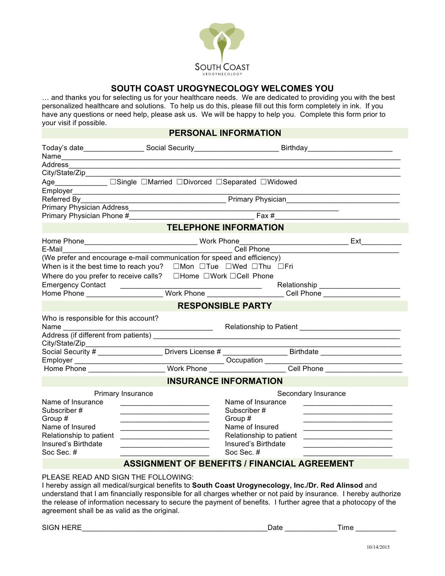

## **SOUTH COAST UROGYNECOLOGY WELCOMES YOU**

… and thanks you for selecting us for your healthcare needs. We are dedicated to providing you with the best personalized healthcare and solutions. To help us do this, please fill out this form completely in ink. If you have any questions or need help, please ask us. We will be happy to help you. Complete this form prior to your visit if possible.

## **PERSONAL INFORMATION**

|                                                 |                                                                                                                                                                                                                               | Today's date___________________Social Security__________________________Birthday____________________ |                                                                                                                                                                                                                                |  |  |  |  |  |
|-------------------------------------------------|-------------------------------------------------------------------------------------------------------------------------------------------------------------------------------------------------------------------------------|------------------------------------------------------------------------------------------------------|--------------------------------------------------------------------------------------------------------------------------------------------------------------------------------------------------------------------------------|--|--|--|--|--|
| Address                                         |                                                                                                                                                                                                                               |                                                                                                      |                                                                                                                                                                                                                                |  |  |  |  |  |
|                                                 | the control of the control of the control of the control of the control of the control of the control of the control of the control of the control of the control of the control of the control of the control of the control |                                                                                                      |                                                                                                                                                                                                                                |  |  |  |  |  |
|                                                 | Age____________ □Single □Married □Divorced □Separated □Widowed                                                                                                                                                                |                                                                                                      |                                                                                                                                                                                                                                |  |  |  |  |  |
|                                                 |                                                                                                                                                                                                                               |                                                                                                      |                                                                                                                                                                                                                                |  |  |  |  |  |
| Referred By Primary Physician Primary Physician |                                                                                                                                                                                                                               |                                                                                                      |                                                                                                                                                                                                                                |  |  |  |  |  |
|                                                 |                                                                                                                                                                                                                               |                                                                                                      |                                                                                                                                                                                                                                |  |  |  |  |  |
|                                                 | Primary Physician Phone # The Contract of the Contract of Tax # Fax #                                                                                                                                                         |                                                                                                      |                                                                                                                                                                                                                                |  |  |  |  |  |
|                                                 |                                                                                                                                                                                                                               | <b>TELEPHONE INFORMATION</b>                                                                         |                                                                                                                                                                                                                                |  |  |  |  |  |
|                                                 |                                                                                                                                                                                                                               |                                                                                                      | Ext                                                                                                                                                                                                                            |  |  |  |  |  |
|                                                 |                                                                                                                                                                                                                               |                                                                                                      |                                                                                                                                                                                                                                |  |  |  |  |  |
|                                                 | (We prefer and encourage e-mail communication for speed and efficiency)                                                                                                                                                       |                                                                                                      |                                                                                                                                                                                                                                |  |  |  |  |  |
|                                                 | When is it the best time to reach you? <sub>□</sub> Mon □Tue □Wed □Thu □Fri                                                                                                                                                   |                                                                                                      |                                                                                                                                                                                                                                |  |  |  |  |  |
|                                                 | Where do you prefer to receive calls?  □Home □Work □Cell Phone                                                                                                                                                                |                                                                                                      |                                                                                                                                                                                                                                |  |  |  |  |  |
|                                                 |                                                                                                                                                                                                                               |                                                                                                      |                                                                                                                                                                                                                                |  |  |  |  |  |
|                                                 |                                                                                                                                                                                                                               |                                                                                                      |                                                                                                                                                                                                                                |  |  |  |  |  |
|                                                 |                                                                                                                                                                                                                               | <b>RESPONSIBLE PARTY</b>                                                                             |                                                                                                                                                                                                                                |  |  |  |  |  |
| Who is responsible for this account?            |                                                                                                                                                                                                                               |                                                                                                      |                                                                                                                                                                                                                                |  |  |  |  |  |
|                                                 | Address (if different from patients)                                                                                                                                                                                          |                                                                                                      |                                                                                                                                                                                                                                |  |  |  |  |  |
| City/State/Zip__________________                |                                                                                                                                                                                                                               |                                                                                                      |                                                                                                                                                                                                                                |  |  |  |  |  |
|                                                 |                                                                                                                                                                                                                               |                                                                                                      |                                                                                                                                                                                                                                |  |  |  |  |  |
|                                                 |                                                                                                                                                                                                                               |                                                                                                      | Employer Mome Cocupation Cocupation Cocupation Cocupation Cocupation Cocupation Cocupation Cocupation Cocupation Cocupation Cocupation Cocupation Cocupation Cocupation Cocupation Cocupation Cocupation Cocupation Cocupation |  |  |  |  |  |
|                                                 |                                                                                                                                                                                                                               |                                                                                                      |                                                                                                                                                                                                                                |  |  |  |  |  |
|                                                 |                                                                                                                                                                                                                               | <b>INSURANCE INFORMATION</b>                                                                         |                                                                                                                                                                                                                                |  |  |  |  |  |
|                                                 | Primary Insurance                                                                                                                                                                                                             |                                                                                                      | Secondary Insurance                                                                                                                                                                                                            |  |  |  |  |  |
| Name of Insurance                               |                                                                                                                                                                                                                               | Name of Insurance                                                                                    | <u> 2008 - Johann John Stein, meil am der Stein und der Stein und der Stein und der Stein und der Stein und der S</u>                                                                                                          |  |  |  |  |  |
| Subscriber #                                    |                                                                                                                                                                                                                               | Subscriber #                                                                                         |                                                                                                                                                                                                                                |  |  |  |  |  |
| Group #                                         | <u> 1989 - Johann John Stone, market fan it ferskearre fan it ferskearre fan it ferskearre fan it ferskearre fan i</u>                                                                                                        | Group #                                                                                              |                                                                                                                                                                                                                                |  |  |  |  |  |
| Name of Insured                                 |                                                                                                                                                                                                                               | Name of Insured                                                                                      |                                                                                                                                                                                                                                |  |  |  |  |  |
| Relationship to patient                         | <u> 1980 - Jan Stein Harry Harry Harry Harry Harry Harry Harry Harry Harry Harry Harry Harry Harry Harry Harry Har</u>                                                                                                        | Relationship to patient                                                                              | <u> 1980 - Johann Barn, mars and de Branch Barn, mars and de Branch Barn, mars and de Branch Barn, mars and de Br</u>                                                                                                          |  |  |  |  |  |
| Insured's Birthdate                             | the control of the control of the control of the control of the control of                                                                                                                                                    | Insured's Birthdate                                                                                  |                                                                                                                                                                                                                                |  |  |  |  |  |
| Soc Sec. #                                      |                                                                                                                                                                                                                               | Soc Sec. #                                                                                           |                                                                                                                                                                                                                                |  |  |  |  |  |
|                                                 | <b>ASSIGNMENT OF BENEFITS / FINANCIAL AGREEMENT</b>                                                                                                                                                                           |                                                                                                      |                                                                                                                                                                                                                                |  |  |  |  |  |
| PLEASE READ AND SIGN THE FOLLOWING:             |                                                                                                                                                                                                                               |                                                                                                      |                                                                                                                                                                                                                                |  |  |  |  |  |

I hereby assign all medical/surgical benefits to **South Coast Urogynecology, Inc./Dr. Red Alinsod** and understand that I am financially responsible for all charges whether or not paid by insurance. I hereby authorize the release of information necessary to secure the payment of benefits. I further agree that a photocopy of the agreement shall be as valid as the original.

SIGN HERE\_\_\_\_\_\_\_\_\_\_\_\_\_\_\_\_\_\_\_\_\_\_\_\_\_\_\_\_\_\_\_\_\_\_\_\_\_\_\_\_\_\_\_\_\_\_Date \_\_\_\_\_\_\_\_\_\_\_\_\_Time \_\_\_\_\_\_\_\_\_\_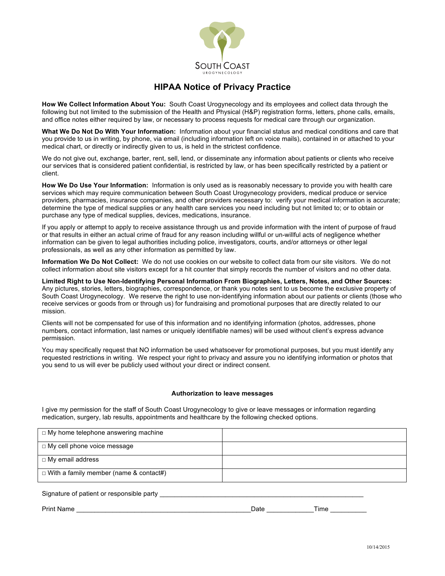

# **HIPAA Notice of Privacy Practice**

**How We Collect Information About You:** South Coast Urogynecology and its employees and collect data through the following but not limited to the submission of the Health and Physical (H&P) registration forms, letters, phone calls, emails, and office notes either required by law, or necessary to process requests for medical care through our organization.

**What We Do Not Do With Your Information:** Information about your financial status and medical conditions and care that you provide to us in writing, by phone, via email (including information left on voice mails), contained in or attached to your medical chart, or directly or indirectly given to us, is held in the strictest confidence.

We do not give out, exchange, barter, rent, sell, lend, or disseminate any information about patients or clients who receive our services that is considered patient confidential, is restricted by law, or has been specifically restricted by a patient or client.

**How We Do Use Your Information:** Information is only used as is reasonably necessary to provide you with health care services which may require communication between South Coast Urogynecology providers, medical produce or service providers, pharmacies, insurance companies, and other providers necessary to: verify your medical information is accurate; determine the type of medical supplies or any health care services you need including but not limited to; or to obtain or purchase any type of medical supplies, devices, medications, insurance.

If you apply or attempt to apply to receive assistance through us and provide information with the intent of purpose of fraud or that results in either an actual crime of fraud for any reason including willful or un-willful acts of negligence whether information can be given to legal authorities including police, investigators, courts, and/or attorneys or other legal professionals, as well as any other information as permitted by law.

**Information We Do Not Collect:** We do not use cookies on our website to collect data from our site visitors. We do not collect information about site visitors except for a hit counter that simply records the number of visitors and no other data.

**Limited Right to Use Non-Identifying Personal Information From Biographies, Letters, Notes, and Other Sources:** Any pictures, stories, letters, biographies, correspondence, or thank you notes sent to us become the exclusive property of South Coast Urogynecology. We reserve the right to use non-identifying information about our patients or clients (those who receive services or goods from or through us) for fundraising and promotional purposes that are directly related to our mission.

Clients will not be compensated for use of this information and no identifying information (photos, addresses, phone numbers, contact information, last names or uniquely identifiable names) will be used without client's express advance permission.

You may specifically request that NO information be used whatsoever for promotional purposes, but you must identify any requested restrictions in writing. We respect your right to privacy and assure you no identifying information or photos that you send to us will ever be publicly used without your direct or indirect consent.

#### **Authorization to leave messages**

I give my permission for the staff of South Coast Urogynecology to give or leave messages or information regarding medication, surgery, lab results, appointments and healthcare by the following checked options.

| $\Box$ My home telephone answering machine    |  |
|-----------------------------------------------|--|
| □ My cell phone voice message                 |  |
| □ My email address                            |  |
| $\Box$ With a family member (name & contact#) |  |
| Signature of patient or responsible party     |  |

Print Name **The Example 2 and Security 2 and Security 2 and Security 2 and Security 2 and Security 2 and Security 2 and Security 2 and Security 2 and Security 2 and Security 2 and Security 2 and Security 2 and Security 2 a**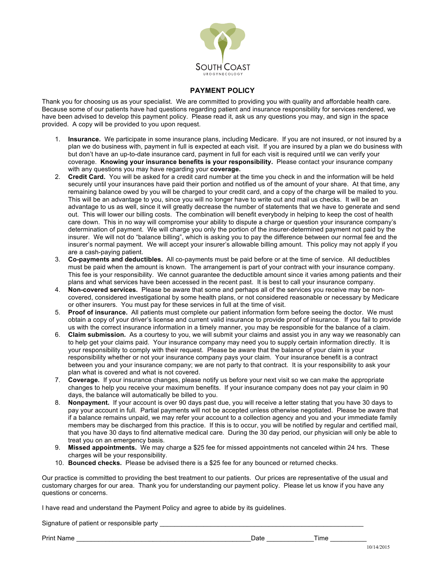

#### **PAYMENT POLICY**

Thank you for choosing us as your specialist. We are committed to providing you with quality and affordable health care. Because some of our patients have had questions regarding patient and insurance responsibility for services rendered, we have been advised to develop this payment policy. Please read it, ask us any questions you may, and sign in the space provided. A copy will be provided to you upon request.

- 1. **Insurance.** We participate in some insurance plans, including Medicare. If you are not insured, or not insured by a plan we do business with, payment in full is expected at each visit. If you are insured by a plan we do business with but don't have an up-to-date insurance card, payment in full for each visit is required until we can verify your coverage. **Knowing your insurance benefits is your responsibility.** Please contact your insurance company with any questions you may have regarding your **coverage.**
- 2. **Credit Card.** You will be asked for a credit card number at the time you check in and the information will be held securely until your insurances have paid their portion and notified us of the amount of your share. At that time, any remaining balance owed by you will be charged to your credit card, and a copy of the charge will be mailed to you. This will be an advantage to you, since you will no longer have to write out and mail us checks. It will be an advantage to us as well, since it will greatly decrease the number of statements that we have to generate and send out. This will lower our billing costs. The combination will benefit everybody in helping to keep the cost of health care down. This in no way will compromise your ability to dispute a charge or question your insurance company's determination of payment. We will charge you only the portion of the insurer-determined payment not paid by the insurer. We will not do "balance billing", which is asking you to pay the difference between our normal fee and the insurer's normal payment. We will accept your insurer's allowable billing amount. This policy may not apply if you are a cash-paying patient.
- 3. **Co-payments and deductibles.** All co-payments must be paid before or at the time of service. All deductibles must be paid when the amount is known. The arrangement is part of your contract with your insurance company. This fee is your responsibility. We cannot quarantee the deductible amount since it varies among patients and their plans and what services have been accessed in the recent past. It is best to call your insurance company.
- 4. **Non-covered services.** Please be aware that some and perhaps all of the services you receive may be noncovered, considered investigational by some health plans, or not considered reasonable or necessary by Medicare or other insurers. You must pay for these services in full at the time of visit.
- 5. **Proof of insurance.** All patients must complete our patient information form before seeing the doctor. We must obtain a copy of your driver's license and current valid insurance to provide proof of insurance. If you fail to provide us with the correct insurance information in a timely manner, you may be responsible for the balance of a claim.
- 6. **Claim submission.** As a courtesy to you, we will submit your claims and assist you in any way we reasonably can to help get your claims paid. Your insurance company may need you to supply certain information directly. It is your responsibility to comply with their request. Please be aware that the balance of your claim is your responsibility whether or not your insurance company pays your claim. Your insurance benefit is a contract between you and your insurance company; we are not party to that contract. It is your responsibility to ask your plan what is covered and what is not covered.
- 7. **Coverage.** If your insurance changes, please notify us before your next visit so we can make the appropriate changes to help you receive your maximum benefits. If your insurance company does not pay your claim in 90 days, the balance will automatically be billed to you.
- 8. **Nonpayment.** If your account is over 90 days past due, you will receive a letter stating that you have 30 days to pay your account in full. Partial payments will not be accepted unless otherwise negotiated. Please be aware that if a balance remains unpaid, we may refer your account to a collection agency and you and your immediate family members may be discharged from this practice. If this is to occur, you will be notified by regular and certified mail, that you have 30 days to find alternative medical care. During the 30 day period, our physician will only be able to treat you on an emergency basis.
- 9. **Missed appointments.** We may charge a \$25 fee for missed appointments not canceled within 24 hrs. These charges will be your responsibility.
- 10. **Bounced checks.** Please be advised there is a \$25 fee for any bounced or returned checks.

Our practice is committed to providing the best treatment to our patients. Our prices are representative of the usual and customary charges for our area. Thank you for understanding our payment policy. Please let us know if you have any questions or concerns.

I have read and understand the Payment Policy and agree to abide by its guidelines.

Signature of patient or responsible party \_\_\_\_\_\_\_\_\_\_\_\_\_\_\_\_\_\_\_\_\_\_\_\_\_\_\_\_\_\_\_\_\_\_\_\_\_\_\_\_\_\_\_\_\_\_\_\_\_\_\_\_\_\_\_\_

Print Name \_\_\_\_\_\_\_\_\_\_\_\_\_\_\_\_\_\_\_\_\_\_\_\_\_\_\_\_\_\_\_\_\_\_\_\_\_\_\_\_\_\_\_\_\_\_\_\_Date \_\_\_\_\_\_\_\_\_\_\_\_\_Time \_\_\_\_\_\_\_\_\_\_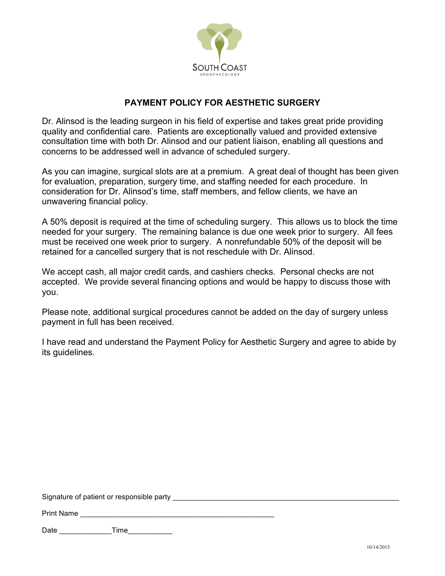

# **PAYMENT POLICY FOR AESTHETIC SURGERY**

Dr. Alinsod is the leading surgeon in his field of expertise and takes great pride providing quality and confidential care. Patients are exceptionally valued and provided extensive consultation time with both Dr. Alinsod and our patient liaison, enabling all questions and concerns to be addressed well in advance of scheduled surgery.

As you can imagine, surgical slots are at a premium. A great deal of thought has been given for evaluation, preparation, surgery time, and staffing needed for each procedure. In consideration for Dr. Alinsod's time, staff members, and fellow clients, we have an unwavering financial policy.

A 50% deposit is required at the time of scheduling surgery. This allows us to block the time needed for your surgery. The remaining balance is due one week prior to surgery. All fees must be received one week prior to surgery. A nonrefundable 50% of the deposit will be retained for a cancelled surgery that is not reschedule with Dr. Alinsod.

We accept cash, all major credit cards, and cashiers checks. Personal checks are not accepted. We provide several financing options and would be happy to discuss those with you.

Please note, additional surgical procedures cannot be added on the day of surgery unless payment in full has been received.

I have read and understand the Payment Policy for Aesthetic Surgery and agree to abide by its guidelines.

Signature of patient or responsible party

Print Name

Date \_\_\_\_\_\_\_\_\_\_\_\_\_Time\_\_\_\_\_\_\_\_\_\_\_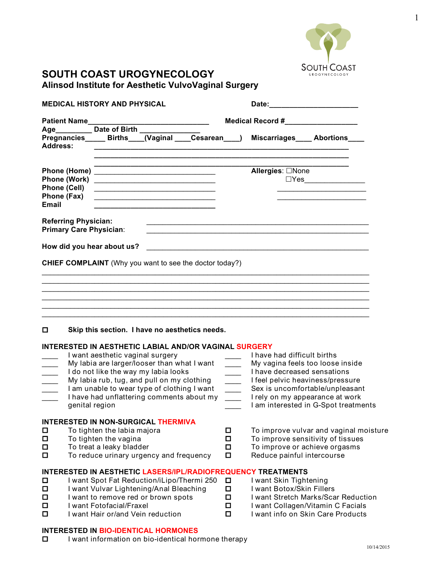

# **SOUTH COAST UROGYNECOLOGY Alinsod Institute for Aesthetic VulvoVaginal Surgery**

 $\square$  I want information on bio-identical hormone therapy

| <b>MEDICAL HISTORY AND PHYSICAL</b>                                |                                                                                                                                                                                                                                                                                                                                                                                                                                                                  |                                                                                                                                                                                                                   |  |                                                                                                         | Date:__________________________                                                                                                                                       |                                                                                                                                                                                                                                                                                                                                                                            |  |
|--------------------------------------------------------------------|------------------------------------------------------------------------------------------------------------------------------------------------------------------------------------------------------------------------------------------------------------------------------------------------------------------------------------------------------------------------------------------------------------------------------------------------------------------|-------------------------------------------------------------------------------------------------------------------------------------------------------------------------------------------------------------------|--|---------------------------------------------------------------------------------------------------------|-----------------------------------------------------------------------------------------------------------------------------------------------------------------------|----------------------------------------------------------------------------------------------------------------------------------------------------------------------------------------------------------------------------------------------------------------------------------------------------------------------------------------------------------------------------|--|
| <b>Patient Name</b>                                                |                                                                                                                                                                                                                                                                                                                                                                                                                                                                  |                                                                                                                                                                                                                   |  |                                                                                                         | Medical Record #_________________                                                                                                                                     |                                                                                                                                                                                                                                                                                                                                                                            |  |
| <b>Address:</b>                                                    | Age___________ Date of Birth _______                                                                                                                                                                                                                                                                                                                                                                                                                             |                                                                                                                                                                                                                   |  |                                                                                                         | Pregnancies Births (Vaginal Cesarean ) Miscarriages Abortions                                                                                                         |                                                                                                                                                                                                                                                                                                                                                                            |  |
| Phone (Work)<br><b>Phone (Cell)</b><br>Phone (Fax)<br><b>Email</b> | <u> 1999 - Johann Harry Harry Harry Harry Harry Harry Harry Harry Harry Harry Harry Harry Harry Harry Harry Harry</u><br><u> 1989 - Johann Barn, mars ann an t-Amhain an t-Amhain an t-Amhain an t-Amhain an t-Amhain an t-Amhain an t-Amh</u>                                                                                                                                                                                                                   | <u> 1989 - Johann John Stein, markin fan it ferstjer fan it ferstjer fan it ferstjer fan it ferstjer fan it fers</u><br>the control of the control of the control of the control of the control of the control of |  |                                                                                                         | <b>Allergies: □None</b>                                                                                                                                               | $\square Yes \begin{picture}(10,10) \put(0,0){\vector(1,0){100}} \put(15,0){\vector(1,0){100}} \put(15,0){\vector(1,0){100}} \put(15,0){\vector(1,0){100}} \put(15,0){\vector(1,0){100}} \put(15,0){\vector(1,0){100}} \put(15,0){\vector(1,0){100}} \put(15,0){\vector(1,0){100}} \put(15,0){\vector(1,0){100}} \put(15,0){\vector(1,0){100}} \put(15,0){\vector(1,0){10$ |  |
| <b>Referring Physician:</b>                                        | <b>Primary Care Physician:</b>                                                                                                                                                                                                                                                                                                                                                                                                                                   |                                                                                                                                                                                                                   |  |                                                                                                         |                                                                                                                                                                       |                                                                                                                                                                                                                                                                                                                                                                            |  |
|                                                                    | How did you hear about us?                                                                                                                                                                                                                                                                                                                                                                                                                                       |                                                                                                                                                                                                                   |  |                                                                                                         | <u> 2000 - John Barnett, amerikansk politiker (d. 1982)</u>                                                                                                           |                                                                                                                                                                                                                                                                                                                                                                            |  |
| 0                                                                  | <b>CHIEF COMPLAINT</b> (Why you want to see the doctor today?)<br>Skip this section. I have no aesthetics needs.<br>INTERESTED IN AESTHETIC LABIAL AND/OR VAGINAL SURGERY<br>I want aesthetic vaginal surgery<br>My labia are larger/looser than what I want<br>I do not like the way my labia looks<br>My labia rub, tug, and pull on my clothing<br>I am unable to wear type of clothing I want<br>I have had unflattering comments about my<br>genital region |                                                                                                                                                                                                                   |  | $\sim$ $-$<br>$\overline{\phantom{a}}$<br>$\frac{1}{1}$<br>$\frac{1}{1}$<br>$\mathcal{L}^{\mathcal{L}}$ | I have had difficult births<br>My vagina feels too loose inside<br>I have decreased sensations<br>I feel pelvic heaviness/pressure<br>I rely on my appearance at work | Sex is uncomfortable/unpleasant<br>I am interested in G-Spot treatments                                                                                                                                                                                                                                                                                                    |  |
| $\Box$<br>$\Box$<br>$\Box$<br>□                                    | INTERESTED IN NON-SURGICAL THERMIVA<br>To tighten the labia majora<br>To tighten the vagina<br>To treat a leaky bladder<br>To reduce urinary urgency and frequency                                                                                                                                                                                                                                                                                               |                                                                                                                                                                                                                   |  | □<br>□<br>□<br>□                                                                                        | To improve or achieve orgasms<br>Reduce painful intercourse                                                                                                           | To improve vulvar and vaginal moisture<br>To improve sensitivity of tissues                                                                                                                                                                                                                                                                                                |  |
| $\Box$<br>$\Box$<br>□<br>$\Box$<br>□                               | I want Spot Fat Reduction/iLipo/Thermi 250<br>I want Vulvar Lightening/Anal Bleaching<br>I want to remove red or brown spots<br>I want Fotofacial/Fraxel<br>I want Hair or/and Vein reduction                                                                                                                                                                                                                                                                    |                                                                                                                                                                                                                   |  | $\Box$<br>□<br>$\Box$<br>$\Box$<br>□                                                                    | <b>INTERESTED IN AESTHETIC LASERS/IPL/RADIOFREQUENCY TREATMENTS</b><br>I want Skin Tightening<br>I want Botox/Skin Fillers                                            | I want Stretch Marks/Scar Reduction<br>I want Collagen/Vitamin C Facials<br>I want info on Skin Care Products                                                                                                                                                                                                                                                              |  |
|                                                                    | <b>INTERESTED IN BIO-IDENTICAL HORMONES</b>                                                                                                                                                                                                                                                                                                                                                                                                                      |                                                                                                                                                                                                                   |  |                                                                                                         |                                                                                                                                                                       |                                                                                                                                                                                                                                                                                                                                                                            |  |

1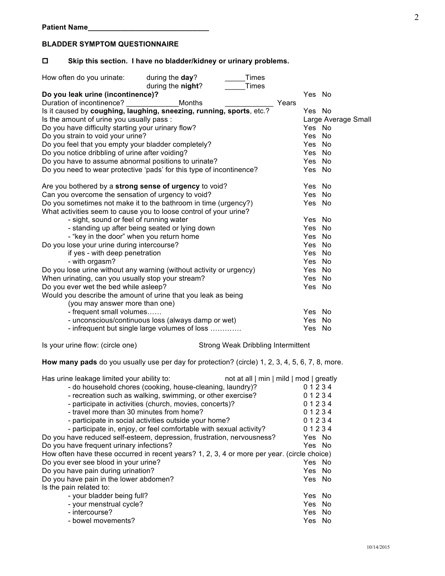## **BLADDER SYMPTOM QUESTIONNAIRE**

## o **Skip this section. I have no bladder/kidney or urinary problems.**

| How often do you urinate:                            | during the day?                                                      | Times |       |        |                     |
|------------------------------------------------------|----------------------------------------------------------------------|-------|-------|--------|---------------------|
|                                                      | during the night?                                                    | Times |       |        |                     |
| Do you leak urine (incontinence)?                    |                                                                      |       |       | Yes No |                     |
| Duration of incontinence?                            | Months                                                               |       | Years |        |                     |
|                                                      | Is it caused by coughing, laughing, sneezing, running, sports, etc.? |       |       | Yes No |                     |
| Is the amount of urine you usually pass :            |                                                                      |       |       |        | Large Average Small |
| Do you have difficulty starting your urinary flow?   |                                                                      |       |       | Yes No |                     |
| Do you strain to void your urine?                    |                                                                      |       |       | Yes No |                     |
| Do you feel that you empty your bladder completely?  |                                                                      |       |       | Yes    | No                  |
| Do you notice dribbling of urine after voiding?      |                                                                      |       |       | Yes    | No                  |
| Do you have to assume abnormal positions to urinate? |                                                                      |       |       | Yes    | N <sub>o</sub>      |
|                                                      | Do you need to wear protective 'pads' for this type of incontinence? |       |       | Yes    | No                  |
|                                                      | Are you bothered by a strong sense of urgency to void?               |       |       | Yes No |                     |
| Can you overcome the sensation of urgency to void?   |                                                                      |       |       | Yes    | No                  |
|                                                      | Do you sometimes not make it to the bathroom in time (urgency?)      |       |       | Yes No |                     |
|                                                      | What activities seem to cause you to loose control of your urine?    |       |       |        |                     |
| - sight, sound or feel of running water              |                                                                      |       |       | Yes No |                     |
|                                                      | - standing up after being seated or lying down                       |       |       | Yes    | No                  |
| - "key in the door" when you return home             |                                                                      |       |       | Yes    | No                  |
| Do you lose your urine during intercourse?           |                                                                      |       |       | Yes    | No                  |
| if yes - with deep penetration                       |                                                                      |       |       | Yes    | <b>No</b>           |
| - with orgasm?                                       |                                                                      |       |       | Yes    | N <sub>o</sub>      |
|                                                      | Do you lose urine without any warning (without activity or urgency)  |       |       | Yes    | No                  |
| When urinating, can you usually stop your stream?    |                                                                      |       |       | Yes    | No                  |
| Do you ever wet the bed while asleep?                |                                                                      |       |       | Yes No |                     |
|                                                      | Would you describe the amount of urine that you leak as being        |       |       |        |                     |
| (you may answer more than one)                       |                                                                      |       |       |        |                     |
| - frequent small volumes                             |                                                                      |       |       | Yes No |                     |
|                                                      | - unconscious/continuous loss (always damp or wet)                   |       |       | Yes    | No                  |
|                                                      | - infrequent but single large volumes of loss                        |       |       | Yes    | No                  |
|                                                      |                                                                      |       |       |        |                     |

Is your urine flow: (circle one) Strong Weak Dribbling Intermittent

**How many pads** do you usually use per day for protection? (circle) 1, 2, 3, 4, 5, 6, 7, 8, more.

| Has urine leakage limited your ability to:                                                  | not at all   min   mild   mod   greatly |        |  |
|---------------------------------------------------------------------------------------------|-----------------------------------------|--------|--|
| - do household chores (cooking, house-cleaning, laundry)?                                   |                                         | 01234  |  |
| - recreation such as walking, swimming, or other exercise?                                  |                                         | 01234  |  |
| - participate in activities (church, movies, concerts)?                                     |                                         | 01234  |  |
| - travel more than 30 minutes from home?                                                    |                                         | 01234  |  |
| - participate in social activities outside your home?                                       |                                         | 01234  |  |
| - participate in, enjoy, or feel comfortable with sexual activity?                          |                                         | 01234  |  |
| Do you have reduced self-esteem, depression, frustration, nervousness?                      |                                         | Yes No |  |
| Do you have frequent urinary infections?                                                    |                                         | Yes No |  |
| How often have these occurred in recent years? 1, 2, 3, 4 or more per year. (circle choice) |                                         |        |  |
| Do you ever see blood in your urine?                                                        |                                         | Yes No |  |
| Do you have pain during urination?                                                          |                                         | Yes No |  |
| Do you have pain in the lower abdomen?                                                      |                                         | Yes No |  |
| Is the pain related to:                                                                     |                                         |        |  |
| - your bladder being full?                                                                  |                                         | Yes No |  |
| - your menstrual cycle?                                                                     |                                         | Yes No |  |
| - intercourse?                                                                              |                                         | Yes No |  |
| - bowel movements?                                                                          |                                         | Yes No |  |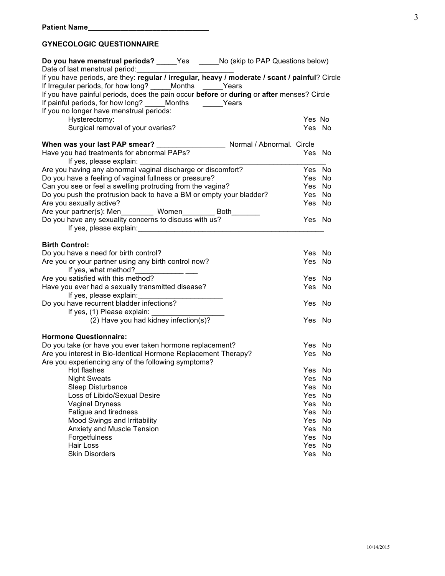# **GYNECOLOGIC QUESTIONNAIRE**

| Do you have menstrual periods? _____Yes ______No (skip to PAP Questions below)                 |        |    |
|------------------------------------------------------------------------------------------------|--------|----|
| Date of last menstrual period:                                                                 |        |    |
| If you have periods, are they: regular / irregular, heavy / moderate / scant / painful? Circle |        |    |
| If Irregular periods, for how long? _____ Months ______ Years                                  |        |    |
| If you have painful periods, does the pain occur before or during or after menses? Circle      |        |    |
| If painful periods, for how long? Months Years                                                 |        |    |
| If you no longer have menstrual periods:                                                       |        |    |
| Hysterectomy:                                                                                  | Yes No |    |
| Surgical removal of your ovaries?                                                              | Yes No |    |
|                                                                                                |        |    |
| Have you had treatments for abnormal PAPs?                                                     | Yes No |    |
| If yes, please explain:                                                                        |        |    |
| Are you having any abnormal vaginal discharge or discomfort?                                   | Yes No |    |
| Do you have a feeling of vaginal fullness or pressure?                                         | Yes No |    |
| Can you see or feel a swelling protruding from the vagina?                                     | Yes No |    |
| Do you push the protrusion back to have a BM or empty your bladder?                            | Yes No |    |
| Are you sexually active?                                                                       | Yes No |    |
| Are your partner(s): Men __________ Women _________ Both ________                              |        |    |
| Do you have any sexuality concerns to discuss with us?                                         | Yes No |    |
| If yes, please explain: If yes, please explain:                                                |        |    |
|                                                                                                |        |    |
| <b>Birth Control:</b>                                                                          |        |    |
| Do you have a need for birth control?                                                          | Yes No |    |
| Are you or your partner using any birth control now?                                           | Yes No |    |
| If yes, what method?                                                                           |        |    |
| Are you satisfied with this method?                                                            | Yes No |    |
| Have you ever had a sexually transmitted disease?                                              | Yes No |    |
| If yes, please explain: If yes, please explain:                                                |        |    |
| Do you have recurrent bladder infections?                                                      | Yes No |    |
| If yes, (1) Please explain:                                                                    |        |    |
| (2) Have you had kidney infection(s)?                                                          | Yes No |    |
| <b>Hormone Questionnaire:</b>                                                                  |        |    |
| Do you take (or have you ever taken hormone replacement?                                       | Yes No |    |
| Are you interest in Bio-Identical Hormone Replacement Therapy?                                 | Yes No |    |
| Are you experiencing any of the following symptoms?                                            |        |    |
| Hot flashes                                                                                    | Yes No |    |
| <b>Night Sweats</b>                                                                            | Yes No |    |
| Sleep Disturbance                                                                              | Yes    | No |
| Loss of Libido/Sexual Desire                                                                   | Yes    | No |
| <b>Vaginal Dryness</b>                                                                         | Yes    | No |
| Fatigue and tiredness                                                                          | Yes    | No |
| Mood Swings and Irritability                                                                   | Yes    | No |
| Anxiety and Muscle Tension                                                                     | Yes    | No |
| Forgetfulness                                                                                  | Yes    | No |
| Hair Loss                                                                                      | Yes    | No |
| <b>Skin Disorders</b>                                                                          | Yes    | No |
|                                                                                                |        |    |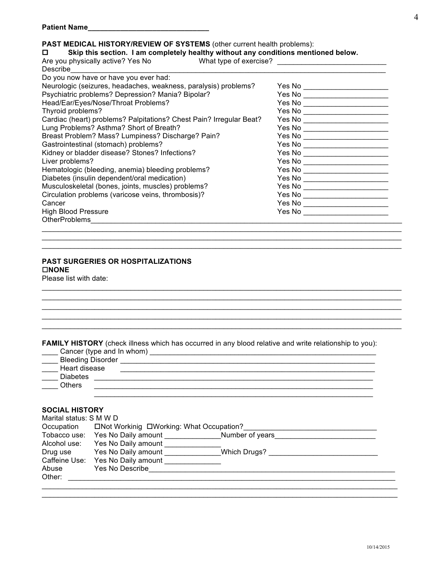## **PAST MEDICAL HISTORY/REVIEW OF SYSTEMS** (other current health problems):

#### o **Skip this section. I am completely healthy without any conditions mentioned below.**

| Are you physically active? Yes No<br>Describe                       |                                 |
|---------------------------------------------------------------------|---------------------------------|
| Do you now have or have you ever had:                               |                                 |
| Neurologic (seizures, headaches, weakness, paralysis) problems?     | Yes No ______________________   |
| Psychiatric problems? Depression? Mania? Bipolar?                   | Yes No _______________________  |
| Head/Ear/Eyes/Nose/Throat Problems?                                 | Yes No ________________________ |
| Thyroid problems?                                                   | Yes No ________________________ |
| Cardiac (heart) problems? Palpitations? Chest Pain? Irregular Beat? | Yes No _______________________  |
| Lung Problems? Asthma? Short of Breath?                             | Yes No _______________________  |
| Breast Problem? Mass? Lumpiness? Discharge? Pain?                   | Yes No ________________________ |
| Gastrointestinal (stomach) problems?                                | Yes No _______________________  |
| Kidney or bladder disease? Stones? Infections?                      | Yes No ________________________ |
| Liver problems?                                                     | Yes No _______________________  |
| Hematologic (bleeding, anemia) bleeding problems?                   |                                 |
| Diabetes (insulin dependent/oral medication)                        | Yes No _______________________  |
| Musculoskeletal (bones, joints, muscles) problems?                  | Yes No _______________________  |
| Circulation problems (varicose veins, thrombosis)?                  | Yes No _______________________  |
| Cancer                                                              | Yes No ______________________   |
| <b>High Blood Pressure</b>                                          | Yes No _______________________  |
| OtherProblems                                                       |                                 |

 $\_$  , and the set of the set of the set of the set of the set of the set of the set of the set of the set of the set of the set of the set of the set of the set of the set of the set of the set of the set of the set of th

\_\_\_\_\_\_\_\_\_\_\_\_\_\_\_\_\_\_\_\_\_\_\_\_\_\_\_\_\_\_\_\_\_\_\_\_\_\_\_\_\_\_\_\_\_\_\_\_\_\_\_\_\_\_\_\_\_\_\_\_\_\_\_\_\_\_\_\_\_\_\_\_\_\_\_\_\_\_\_\_\_\_\_\_\_\_\_\_\_

 $\_$  , and the set of the set of the set of the set of the set of the set of the set of the set of the set of the set of the set of the set of the set of the set of the set of the set of the set of the set of the set of th

\_\_\_\_\_\_\_\_\_\_\_\_\_\_\_\_\_\_\_\_\_\_\_\_\_\_\_\_\_\_\_\_\_\_\_\_\_\_\_\_\_\_\_\_\_\_\_\_\_\_\_\_\_\_\_\_\_\_\_\_\_\_\_\_\_\_\_\_\_\_\_\_\_\_\_\_\_\_\_\_\_\_\_\_\_\_\_\_\_ \_\_\_\_\_\_\_\_\_\_\_\_\_\_\_\_\_\_\_\_\_\_\_\_\_\_\_\_\_\_\_\_\_\_\_\_\_\_\_\_\_\_\_\_\_\_\_\_\_\_\_\_\_\_\_\_\_\_\_\_\_\_\_\_\_\_\_\_\_\_\_\_\_\_\_\_\_\_\_\_\_\_\_\_\_\_\_\_\_

 $\_$  , and the set of the set of the set of the set of the set of the set of the set of the set of the set of the set of the set of the set of the set of the set of the set of the set of the set of the set of the set of th  $\_$  , and the set of the set of the set of the set of the set of the set of the set of the set of the set of the set of the set of the set of the set of the set of the set of the set of the set of the set of the set of th

# **PAST SURGERIES OR HOSPITALIZATIONS**

o**NONE**

Please list with date:

|  |  | FAMILY HISTORY (check illness which has occurred in any blood relative and write relationship to you): |  |  |
|--|--|--------------------------------------------------------------------------------------------------------|--|--|
|--|--|--------------------------------------------------------------------------------------------------------|--|--|

| Cancer (type and In whom) |  |  |
|---------------------------|--|--|
| <b>Bleeding Disorder</b>  |  |  |
| Heart disease             |  |  |
| <b>Diabetes</b>           |  |  |
| <b>Others</b>             |  |  |
|                           |  |  |

## **SOCIAL HISTORY**

| Marital status: S M W D |                                          |              |  |  |  |  |  |
|-------------------------|------------------------------------------|--------------|--|--|--|--|--|
| Occupation              | □Not Workinig □Working: What Occupation? |              |  |  |  |  |  |
| Tobacco use:            | Number of years<br>Yes No Daily amount   |              |  |  |  |  |  |
| Alcohol use:            | Yes No Daily amount                      |              |  |  |  |  |  |
| Drug use                | Yes No Daily amount                      | Which Drugs? |  |  |  |  |  |
| Caffeine Use:           | Yes No Daily amount                      |              |  |  |  |  |  |
| Abuse                   | Yes No Describe                          |              |  |  |  |  |  |
| Other:                  |                                          |              |  |  |  |  |  |
|                         |                                          |              |  |  |  |  |  |

 $\_$  , and the set of the set of the set of the set of the set of the set of the set of the set of the set of the set of the set of the set of the set of the set of the set of the set of the set of the set of the set of th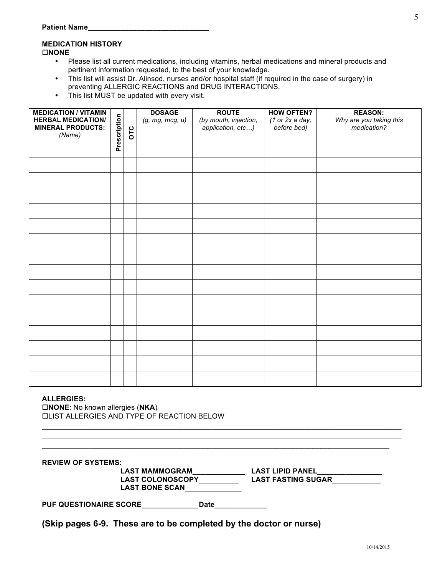#### **MEDICATION HISTORY** o**NONE**

- Please list all current medications, including vitamins, herbal medications and mineral products and pertinent information requested, to the best of your knowledge.
- This list will assist Dr. Alinsod, nurses and/or hospital staff (if required in the case of surgery) in preventing ALLERGIC REACTIONS and DRUG INTERACTIONS.
- This list MUST be updated with every visit.

| <b>MEDICATION / VITAMIN</b> |              |     | <b>DOSAGE</b>   | <b>ROUTE</b>          | <b>HOW OFTEN?</b> | <b>REASON:</b>          |
|-----------------------------|--------------|-----|-----------------|-----------------------|-------------------|-------------------------|
| <b>HERBAL MEDICATION/</b>   | Prescription |     | (g, mg, mcg, u) | (by mouth, injection, | (1 or 2x a day,   | Why are you taking this |
| <b>MINERAL PRODUCTS:</b>    |              | OTC |                 | application, etc)     | before bed)       | medication?             |
| (Name)                      |              |     |                 |                       |                   |                         |
|                             |              |     |                 |                       |                   |                         |
|                             |              |     |                 |                       |                   |                         |
|                             |              |     |                 |                       |                   |                         |
|                             |              |     |                 |                       |                   |                         |
|                             |              |     |                 |                       |                   |                         |
|                             |              |     |                 |                       |                   |                         |
|                             |              |     |                 |                       |                   |                         |
|                             |              |     |                 |                       |                   |                         |
|                             |              |     |                 |                       |                   |                         |
|                             |              |     |                 |                       |                   |                         |
|                             |              |     |                 |                       |                   |                         |
|                             |              |     |                 |                       |                   |                         |
|                             |              |     |                 |                       |                   |                         |
|                             |              |     |                 |                       |                   |                         |
|                             |              |     |                 |                       |                   |                         |
|                             |              |     |                 |                       |                   |                         |
|                             |              |     |                 |                       |                   |                         |
|                             |              |     |                 |                       |                   |                         |
|                             |              |     |                 |                       |                   |                         |
|                             |              |     |                 |                       |                   |                         |
|                             |              |     |                 |                       |                   |                         |

#### **ALLERGIES:**

□**NONE**: No known allergies (**NKA**) oLIST ALLERGIES AND TYPE OF REACTION BELOW

\_\_\_\_\_\_\_\_\_\_\_\_\_\_\_\_\_\_\_\_\_\_\_\_\_\_\_\_\_\_\_\_\_\_\_\_\_\_\_\_\_\_\_\_\_\_\_\_\_\_\_\_\_\_\_\_\_\_\_\_\_\_\_\_\_\_\_\_\_\_\_\_\_\_\_\_\_\_\_\_\_\_\_\_\_\_\_\_\_ \_\_\_\_\_\_\_\_\_\_\_\_\_\_\_\_\_\_\_\_\_\_\_\_\_\_\_\_\_\_\_\_\_\_\_\_\_\_\_\_\_\_\_\_\_\_\_\_\_\_\_\_\_\_\_\_\_\_\_\_\_\_\_\_\_\_\_\_\_\_\_\_\_\_\_\_\_\_\_\_\_\_\_\_\_\_ **REVIEW OF SYSTEMS: LAST MAMMOGRAM\_\_\_\_\_\_\_\_\_\_\_\_\_ LAST LIPID PANEL\_\_\_\_\_\_\_\_\_\_\_\_\_\_\_\_ LAST COLONOSCOPY\_\_\_\_\_\_\_\_\_\_ LAST FASTING SUGAR\_\_\_\_\_\_\_\_\_\_\_\_** LAST BONE SCAN\_\_\_\_\_\_\_ **PUF QUESTIONAIRE SCORE**\_\_\_\_\_\_\_\_\_\_\_\_\_\_**Date**\_\_\_\_\_\_\_\_\_\_\_\_\_

 $\_$  , and the set of the set of the set of the set of the set of the set of the set of the set of the set of the set of the set of the set of the set of the set of the set of the set of the set of the set of the set of th

**(Skip pages 6-9. These are to be completed by the doctor or nurse)**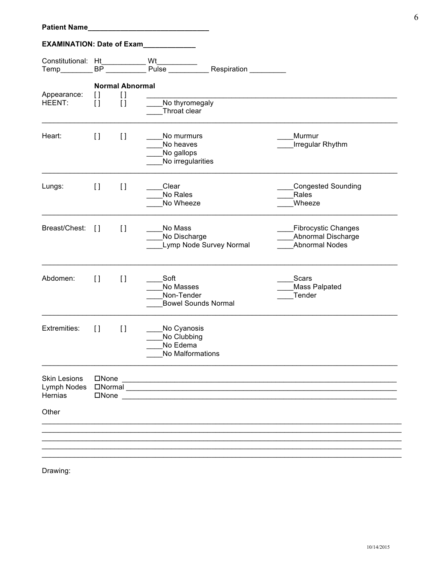| <b>Patient Name</b>                           |                                        |                                                                                                                                                                                                                                |                                                            |                                                                                                                                                                                                                                                                                                                                                                                                                                                                                                                                             |                                                                                  |
|-----------------------------------------------|----------------------------------------|--------------------------------------------------------------------------------------------------------------------------------------------------------------------------------------------------------------------------------|------------------------------------------------------------|---------------------------------------------------------------------------------------------------------------------------------------------------------------------------------------------------------------------------------------------------------------------------------------------------------------------------------------------------------------------------------------------------------------------------------------------------------------------------------------------------------------------------------------------|----------------------------------------------------------------------------------|
| <b>EXAMINATION: Date of Exam</b>              |                                        |                                                                                                                                                                                                                                | <u> 1990 - John Barn Barns</u>                             |                                                                                                                                                                                                                                                                                                                                                                                                                                                                                                                                             |                                                                                  |
| Constitutional: Ht<br>Temp________            |                                        | BP and the state of the state of the state of the state of the state of the state of the state of the state of the state of the state of the state of the state of the state of the state of the state of the state of the sta | Wt                                                         | Wt__________<br>Pulse ___________ Respiration __________                                                                                                                                                                                                                                                                                                                                                                                                                                                                                    |                                                                                  |
| Appearance:<br>HEENT:                         | H<br>$\Box$                            | <b>Normal Abnormal</b><br>$[ \ ]$<br>$\mathfrak{g}$                                                                                                                                                                            | No thyromegaly<br>Throat clear                             |                                                                                                                                                                                                                                                                                                                                                                                                                                                                                                                                             |                                                                                  |
| Heart:                                        | $\Box$                                 | $\lceil$                                                                                                                                                                                                                       | No murmurs<br>No heaves<br>No gallops<br>No irregularities |                                                                                                                                                                                                                                                                                                                                                                                                                                                                                                                                             | Murmur<br>Irregular Rhythm                                                       |
| Lungs:                                        | $\begin{array}{c} \square \end{array}$ | $\lceil$                                                                                                                                                                                                                       | Clear<br>No Rales<br>No Wheeze                             |                                                                                                                                                                                                                                                                                                                                                                                                                                                                                                                                             | Congested Sounding<br>Rales<br>Wheeze                                            |
| Breast/Chest:                                 | $\Box$                                 | $\lceil$                                                                                                                                                                                                                       | No Mass<br>No Discharge                                    | Lymp Node Survey Normal                                                                                                                                                                                                                                                                                                                                                                                                                                                                                                                     | <b>Fibrocystic Changes</b><br><b>Abnormal Discharge</b><br><b>Abnormal Nodes</b> |
| Abdomen:                                      | $\left[\right]$                        | $\mathfrak{g}$                                                                                                                                                                                                                 | Soft<br>No Masses<br>Non-Tender                            | <b>Bowel Sounds Normal</b>                                                                                                                                                                                                                                                                                                                                                                                                                                                                                                                  | Scars<br>Mass Palpated<br>Tender                                                 |
| <b>Extremities:</b>                           | $\Box$                                 | $\Box$                                                                                                                                                                                                                         | No Cyanosis<br>No Clubbing<br>No Edema<br>No Malformations |                                                                                                                                                                                                                                                                                                                                                                                                                                                                                                                                             |                                                                                  |
| <b>Skin Lesions</b><br>Lymph Nodes<br>Hernias |                                        |                                                                                                                                                                                                                                |                                                            | $\Box \textsf{None} \textcolor{red}{\overbrace{\phantom{a}}\textcolor{blue}{\textbf{1}}\textcolor{blue}{\textbf{1}}\textcolor{blue}{\textbf{1}}\textcolor{blue}{\textbf{2}}\textcolor{blue}{\textbf{2}}\textcolor{blue}{\textbf{3}}\textcolor{blue}{\textbf{4}}\textcolor{blue}{\textbf{5}}\textcolor{blue}{\textbf{1}}\textcolor{blue}{\textbf{1}}\textcolor{blue}{\textbf{2}}\textcolor{blue}{\textbf{1}}\textcolor{blue}{\textbf{2}}\textcolor{blue}{\textbf{1}}\textcolor{blue}{\textbf{2}}\textcolor{blue}{\textbf{1}}\textcolor{blue$ |                                                                                  |
| Other                                         |                                        |                                                                                                                                                                                                                                |                                                            |                                                                                                                                                                                                                                                                                                                                                                                                                                                                                                                                             |                                                                                  |
|                                               |                                        |                                                                                                                                                                                                                                |                                                            |                                                                                                                                                                                                                                                                                                                                                                                                                                                                                                                                             |                                                                                  |
|                                               |                                        |                                                                                                                                                                                                                                |                                                            |                                                                                                                                                                                                                                                                                                                                                                                                                                                                                                                                             |                                                                                  |

Drawing:

6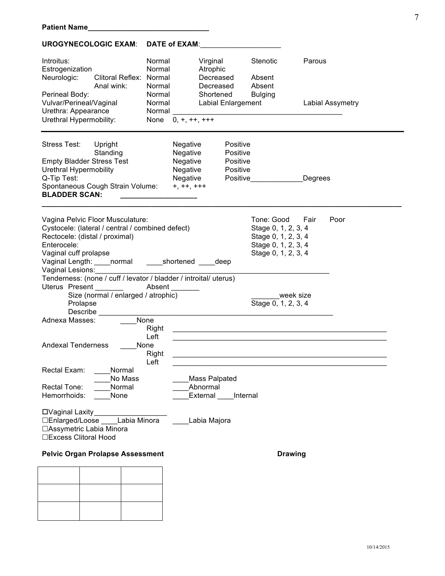| Introitus:<br>Estrogenization<br>Neurologic:<br><b>Clitoral Reflex:</b><br>Anal wink:<br>Perineal Body:<br>Vulvar/Perineal/Vaginal<br>Urethra: Appearance<br>Urethral Hypermobility:                                                                                                                                                                                    | Normal<br>Normal<br>Normal<br>Normal<br>Normal<br>Normal<br>Normal<br>$0, +, ++, +$<br>None | Virginal<br>Atrophic<br>Decreased<br>Decreased<br>Shortened<br><b>Labial Enlargement</b> | Stenotic<br>Absent<br>Absent<br><b>Bulging</b>                                                                                | Parous<br><b>Labial Assymetry</b> |
|-------------------------------------------------------------------------------------------------------------------------------------------------------------------------------------------------------------------------------------------------------------------------------------------------------------------------------------------------------------------------|---------------------------------------------------------------------------------------------|------------------------------------------------------------------------------------------|-------------------------------------------------------------------------------------------------------------------------------|-----------------------------------|
| <b>Stress Test:</b><br>Upright<br>Standing<br><b>Empty Bladder Stress Test</b><br>Urethral Hypermobility<br>Q-Tip Test:<br>Spontaneous Cough Strain Volume:<br><b>BLADDER SCAN:</b>                                                                                                                                                                                     | Negative<br>Negative<br>Negative<br>Negative<br>Negative<br>$+, ++, +$                      | Positive<br>Positive<br>Positive<br>Positive<br>Positive                                 |                                                                                                                               | Degrees                           |
| Vagina Pelvic Floor Musculature:<br>Cystocele: (lateral / central / combined defect)<br>Rectocele: (distal / proximal)<br>Enterocele:<br>Vaginal cuff prolapse<br>Vaginal Length: ____ normal<br>Vaginal Lesions:<br>Tenderness: (none / cuff / levator / bladder / introital/ uterus)<br>Uterus Present<br>Size (normal / enlarged / atrophic)<br>Prolapse<br>Describe | shortened<br>Absent                                                                         | deep                                                                                     | Tone: Good<br>Stage 0, 1, 2, 3, 4<br>Stage 0, 1, 2, 3, 4<br>Stage 0, 1, 2, 3, 4<br>Stage 0, 1, 2, 3, 4<br>Stage 0, 1, 2, 3, 4 | Fair<br>Poor<br>week size         |
| Adnexa Masses:<br><b>Andexal Tenderness</b>                                                                                                                                                                                                                                                                                                                             | None<br>Right<br>Left<br>None<br>Right                                                      |                                                                                          |                                                                                                                               |                                   |
| Rectal Exam:<br>Normal<br>No Mass<br>Normal<br>Rectal Tone:<br>None<br>Hemorrhoids:                                                                                                                                                                                                                                                                                     | Left                                                                                        | Mass Palpated<br>Abnormal<br>External                                                    | Internal                                                                                                                      |                                   |
| □Vaginal Laxity<br>Labia Minora<br>□Enlarged/Loose<br>□ Assymetric Labia Minora<br>□Excess Clitoral Hood                                                                                                                                                                                                                                                                |                                                                                             | Labia Majora                                                                             |                                                                                                                               |                                   |
| <b>Pelvic Organ Prolapse Assessment</b>                                                                                                                                                                                                                                                                                                                                 |                                                                                             |                                                                                          | <b>Drawing</b>                                                                                                                |                                   |
|                                                                                                                                                                                                                                                                                                                                                                         |                                                                                             |                                                                                          |                                                                                                                               |                                   |

#### UROGYNECOLOGIC EXAM: DATE of EXAM: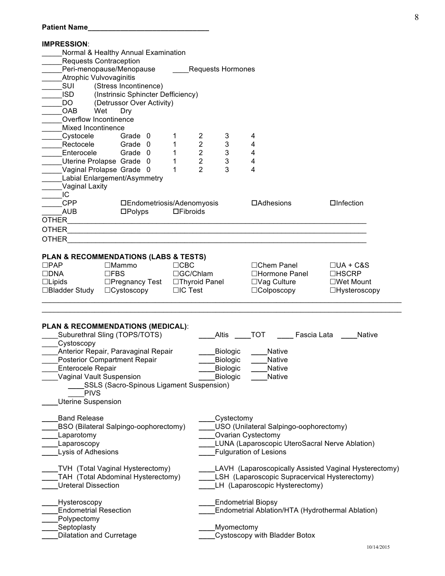| <b>Patient Name</b>                          |                                          |                 |                                  |                          |                                                      |                                                       |  |
|----------------------------------------------|------------------------------------------|-----------------|----------------------------------|--------------------------|------------------------------------------------------|-------------------------------------------------------|--|
| <b>IMPRESSION:</b>                           |                                          |                 |                                  |                          |                                                      |                                                       |  |
| Normal & Healthy Annual Examination          |                                          |                 |                                  |                          |                                                      |                                                       |  |
| <b>Requests Contraception</b>                |                                          |                 |                                  |                          |                                                      |                                                       |  |
| Peri-menopause/Menopause                     |                                          |                 |                                  | <b>Requests Hormones</b> |                                                      |                                                       |  |
| <b>Atrophic Vulvovaginitis</b>               |                                          |                 |                                  |                          |                                                      |                                                       |  |
| SUI                                          | (Stress Incontinence)                    |                 |                                  |                          |                                                      |                                                       |  |
| <b>ISD</b>                                   | (Instrinsic Sphincter Defficiency)       |                 |                                  |                          |                                                      |                                                       |  |
| DO.                                          | (Detrussor Over Activity)                |                 |                                  |                          |                                                      |                                                       |  |
| Wet<br>OAB                                   | Dry                                      |                 |                                  |                          |                                                      |                                                       |  |
| Overflow Incontinence                        |                                          |                 |                                  |                          |                                                      |                                                       |  |
| Mixed Incontinence                           |                                          |                 |                                  |                          |                                                      |                                                       |  |
| Cystocele<br>Rectocele                       | Grade 0<br>Grade 0                       | 1<br>1          | $\overline{2}$<br>$\overline{2}$ | 3<br>3                   | 4<br>4                                               |                                                       |  |
| Enterocele                                   | Grade 0                                  | 1               | $\overline{2}$                   | $\mathbf{3}$             | 4                                                    |                                                       |  |
| Uterine Prolapse Grade 0                     |                                          | 1               | $\overline{2}$                   | $\mathbf{3}$             | 4                                                    |                                                       |  |
| Vaginal Prolapse Grade 0                     |                                          | 1               | $\overline{2}$                   | 3                        | 4                                                    |                                                       |  |
| Labial Enlargement/Asymmetry                 |                                          |                 |                                  |                          |                                                      |                                                       |  |
| Vaginal Laxity                               |                                          |                 |                                  |                          |                                                      |                                                       |  |
| IC                                           |                                          |                 |                                  |                          |                                                      |                                                       |  |
| <b>CPP</b>                                   | □Endometriosis/Adenomyosis               |                 |                                  |                          | $\Box$ Adhesions                                     | $\Box$ Infection                                      |  |
| <b>AUB</b>                                   | $\square$ Polyps                         | $\Box$ Fibroids |                                  |                          |                                                      |                                                       |  |
| <b>OTHER</b>                                 |                                          |                 |                                  |                          |                                                      |                                                       |  |
| <b>OTHER</b>                                 |                                          |                 |                                  |                          |                                                      |                                                       |  |
| <b>OTHER</b>                                 |                                          |                 |                                  |                          |                                                      |                                                       |  |
| PLAN & RECOMMENDATIONS (LABS & TESTS)        |                                          |                 |                                  |                          |                                                      |                                                       |  |
| $\Box$ PAP                                   | $\Box$ Mammo                             | $\Box$ CBC      |                                  |                          | □Chem Panel                                          | $\Box$ UA + C&S                                       |  |
| $\square$ DNA                                | $\Box$ FBS                               |                 | □GC/Chlam                        |                          | □Hormone Panel                                       | $\Box$ HSCRP                                          |  |
| $\Box$ Lipids                                | □Pregnancy Test □Thyroid Panel           |                 |                                  |                          | $\Box$ Vag Culture                                   | $\square$ Wet Mount                                   |  |
| □Bladder Study □Cystoscopy                   |                                          | $\Box$ IC Test  |                                  |                          | $\Box$ Colposcopy                                    | $\Box$ Hysteroscopy                                   |  |
|                                              |                                          |                 |                                  |                          |                                                      |                                                       |  |
| <b>PLAN &amp; RECOMMENDATIONS (MEDICAL):</b> |                                          |                 |                                  |                          |                                                      |                                                       |  |
| Suburethral Sling (TOPS/TOTS)                |                                          |                 |                                  | Altis                    | <b>TOT</b><br>Fascia Lata                            | <b>Native</b>                                         |  |
| Cystoscopy                                   |                                          |                 |                                  |                          |                                                      |                                                       |  |
| Anterior Repair, Paravaginal Repair          |                                          |                 |                                  | Biologic                 | Native                                               |                                                       |  |
| <b>Posterior Compartment Repair</b>          |                                          |                 |                                  | Biologic<br>Native       |                                                      |                                                       |  |
| <b>Enterocele Repair</b>                     |                                          |                 |                                  | Biologic                 | <b>Native</b>                                        |                                                       |  |
| Vaginal Vault Suspension                     |                                          |                 |                                  | Biologic                 | <b>Native</b>                                        |                                                       |  |
|                                              | SSLS (Sacro-Spinous Ligament Suspension) |                 |                                  |                          |                                                      |                                                       |  |
| <b>PIVS</b>                                  |                                          |                 |                                  |                          |                                                      |                                                       |  |
| <b>Uterine Suspension</b>                    |                                          |                 |                                  |                          |                                                      |                                                       |  |
| <b>Band Release</b>                          |                                          |                 |                                  | Cystectomy               |                                                      |                                                       |  |
| BSO (Bilateral Salpingo-oophorectomy)        |                                          |                 |                                  |                          | USO (Unilateral Salpingo-oophorectomy)               |                                                       |  |
| Laparotomy                                   |                                          |                 | Ovarian Cystectomy               |                          |                                                      |                                                       |  |
| Laparoscopy                                  |                                          |                 |                                  |                          | LUNA (Laparoscopic UteroSacral Nerve Ablation)       |                                                       |  |
| Lysis of Adhesions                           |                                          |                 |                                  |                          | <b>Fulguration of Lesions</b>                        |                                                       |  |
|                                              |                                          |                 |                                  |                          |                                                      |                                                       |  |
| TVH (Total Vaginal Hysterectomy)             |                                          |                 |                                  |                          |                                                      | LAVH (Laparoscopically Assisted Vaginal Hysterectomy) |  |
| TAH (Total Abdominal Hysterectomy)           |                                          |                 |                                  |                          | <b>LSH</b> (Laparoscopic Supracervical Hysterectomy) |                                                       |  |
| <b>Ureteral Dissection</b>                   |                                          |                 |                                  |                          | LH (Laparoscopic Hysterectomy)                       |                                                       |  |
| Hysteroscopy                                 |                                          |                 |                                  |                          | <b>Endometrial Biopsy</b>                            |                                                       |  |
| <b>Endometrial Resection</b>                 |                                          |                 |                                  |                          | Endometrial Ablation/HTA (Hydrothermal Ablation)     |                                                       |  |
| Polypectomy                                  |                                          |                 |                                  |                          |                                                      |                                                       |  |
| Septoplasty                                  |                                          |                 |                                  | Myomectomy               |                                                      |                                                       |  |
| <b>Dilatation and Curretage</b>              |                                          |                 | Cystoscopy with Bladder Botox    |                          |                                                      |                                                       |  |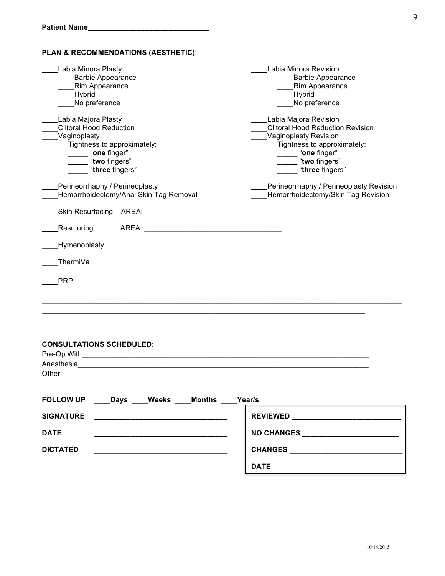| PLAN & RECOMMENDATIONS (AESTHETIC):                                                                                                                                                                                                                                                                                                                                     |                                                                                                                                                                                                                         |
|-------------------------------------------------------------------------------------------------------------------------------------------------------------------------------------------------------------------------------------------------------------------------------------------------------------------------------------------------------------------------|-------------------------------------------------------------------------------------------------------------------------------------------------------------------------------------------------------------------------|
| Labia Minora Plasty<br><b>Barbie Appearance</b><br>Rim Appearance<br><b>Hybrid</b><br>No preference                                                                                                                                                                                                                                                                     | Labia Minora Revision<br><b>Barbie Appearance</b><br><b>Rim Appearance</b><br>Hybrid<br>No preference                                                                                                                   |
| Labia Majora Plasty<br><b>Clitoral Hood Reduction</b><br>Vaginoplasty<br>Tightness to approximately:<br>"one finger"<br>"two fingers"<br>"three fingers"<br>Perineorrhaphy / Perineoplasty                                                                                                                                                                              | Labia Majora Revision<br><b>Clitoral Hood Reduction Revision</b><br>Vaginoplasty Revision<br>Tightness to approximately:<br>"one finger"<br>"two fingers"<br>"three fingers"<br>Perineorrhaphy / Perineoplasty Revision |
| Hemorrhoidectomy/Anal Skin Tag Removal<br>Skin Resurfacing<br>AREA:<br><u> 1980 - Johann Barbara, martxa alemaniar a</u><br>Resuturing<br>AREA: AREA: AREA: AREA: AREA: AREA: AREA: AREA: AREA: AREA: AREA: AREA: AREA: AREA: AREA: AREA: AREA: AREA: AREA: AREA: AREA: AREA: AREA: AREA: AREA: AREA: AREA: AREA: AREA: AREA: AREA: AREA: AREA: AREA: AREA: AREA: AREA: | Hemorrhoidectomy/Skin Tag Revision                                                                                                                                                                                      |
| Hymenoplasty<br>ThermiVa<br><b>PRP</b>                                                                                                                                                                                                                                                                                                                                  |                                                                                                                                                                                                                         |
| <b>CONSULTATIONS SCHEDULED:</b><br>Pre-Op With<br><u> 1989 - Johann Stoff, amerikansk politiker (d. 1989)</u><br>Anesthesia<br>Other                                                                                                                                                                                                                                    |                                                                                                                                                                                                                         |
| FOLLOW UP ____Days ____Weeks ____Months ____Year/s                                                                                                                                                                                                                                                                                                                      |                                                                                                                                                                                                                         |
| <b>SIGNATURE</b><br><u> 2000 - 2000 - 2000 - 2000 - 2000 - 2000 - 2000 - 2000 - 2000 - 2000 - 2000 - 2000 - 2000 - 2000 - 2000 - 200</u>                                                                                                                                                                                                                                |                                                                                                                                                                                                                         |
| <b>DATE</b>                                                                                                                                                                                                                                                                                                                                                             | NO CHANGES ______________________                                                                                                                                                                                       |
| <b>DICTATED</b><br>the control of the control of the control of the control of the control of the control of                                                                                                                                                                                                                                                            |                                                                                                                                                                                                                         |
|                                                                                                                                                                                                                                                                                                                                                                         |                                                                                                                                                                                                                         |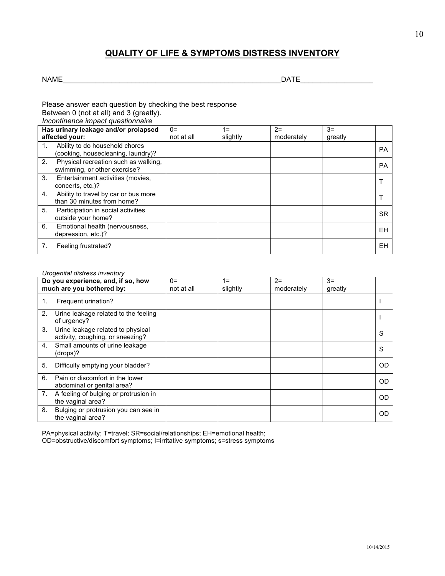# **QUALITY OF LIFE & SYMPTOMS DISTRESS INVENTORY**

NAME\_\_\_\_\_\_\_\_\_\_\_\_\_\_\_\_\_\_\_\_\_\_\_\_\_\_\_\_\_\_\_\_\_\_\_\_\_\_\_\_\_\_\_\_\_\_\_\_\_\_\_\_\_\_DATE\_\_\_\_\_\_\_\_\_\_\_\_\_\_\_\_\_\_

Please answer each question by checking the best response Between 0 (not at all) and 3 (greatly).

*Incontinence impact questionnaire*

|    | Has urinary leakage and/or prolapsed                                 | $0=$       | 1=       | $2=$       | $3=$    |           |
|----|----------------------------------------------------------------------|------------|----------|------------|---------|-----------|
|    | affected your:                                                       | not at all | slightly | moderately | greatly |           |
| 1. | Ability to do household chores<br>(cooking, housecleaning, laundry)? |            |          |            |         | <b>PA</b> |
| 2. | Physical recreation such as walking,<br>swimming, or other exercise? |            |          |            |         | <b>PA</b> |
| 3. | Entertainment activities (movies,<br>concerts, etc.)?                |            |          |            |         |           |
| 4. | Ability to travel by car or bus more<br>than 30 minutes from home?   |            |          |            |         |           |
| 5. | Participation in social activities<br>outside your home?             |            |          |            |         | <b>SR</b> |
| 6. | Emotional health (nervousness,<br>depression, etc.)?                 |            |          |            |         | ΕH        |
|    | Feeling frustrated?                                                  |            |          |            |         | EН        |

#### *Urogenital distress inventory*

|    | Do you experience, and, if so, how<br>much are you bothered by:       | $0=$<br>not at all | 1=<br>slightly | $2=$<br>moderately | $3=$<br>greatly |           |
|----|-----------------------------------------------------------------------|--------------------|----------------|--------------------|-----------------|-----------|
| 1. | Frequent urination?                                                   |                    |                |                    |                 |           |
| 2. | Urine leakage related to the feeling<br>of urgency?                   |                    |                |                    |                 |           |
| 3. | Urine leakage related to physical<br>activity, coughing, or sneezing? |                    |                |                    |                 | S         |
| 4. | Small amounts of urine leakage<br>(drops)?                            |                    |                |                    |                 | S         |
| 5. | Difficulty emptying your bladder?                                     |                    |                |                    |                 | OD        |
| 6. | Pain or discomfort in the lower<br>abdominal or genital area?         |                    |                |                    |                 | OD        |
| 7. | A feeling of bulging or protrusion in<br>the vaginal area?            |                    |                |                    |                 | <b>OD</b> |
| 8. | Bulging or protrusion you can see in<br>the vaginal area?             |                    |                |                    |                 | <b>OD</b> |

PA=physical activity; T=travel; SR=social/relationships; EH=emotional health; OD=obstructive/discomfort symptoms; I=irritative symptoms; s=stress symptoms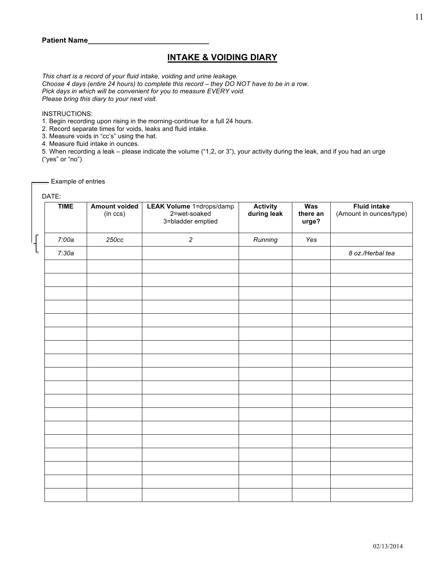## **INTAKE & VOIDING DIARY**

*This chart is a record of your fluid intake, voiding and urine leakage. Choose 4 days (entire 24 hours) to complete this record – they DO NOT have to be in a row. Pick days in which will be convenient for you to measure EVERY void. Please bring this diary to your next visit.*

#### INSTRUCTIONS:

1. Begin recording upon rising in the morning-continue for a full 24 hours.

- 2. Record separate times for voids, leaks and fluid intake.
- 3. Measure voids in "cc's" using the hat.

4. Measure fluid intake in ounces.

5. When recording a leak – please indicate the volume ("1,2, or 3"), your activity during the leak, and if you had an urge ("yes" or "no")

- Example of entries

|        | DATE:       |                                  |                                                               |                                 |                          |                                                |  |  |  |
|--------|-------------|----------------------------------|---------------------------------------------------------------|---------------------------------|--------------------------|------------------------------------------------|--|--|--|
|        | <b>TIME</b> | <b>Amount voided</b><br>(in ccs) | LEAK Volume 1=drops/damp<br>2=wet-soaked<br>3=bladder emptied | <b>Activity<br/>during leak</b> | Was<br>there an<br>urge? | <b>Fluid intake</b><br>(Amount in ounces/type) |  |  |  |
| г<br>Ч | 7:00a       | 250cc                            | $\overline{a}$                                                | Running                         | Yes                      |                                                |  |  |  |
|        | 7:30a       |                                  |                                                               |                                 |                          | 8 oz./Herbal tea                               |  |  |  |
|        |             |                                  |                                                               |                                 |                          |                                                |  |  |  |
|        |             |                                  |                                                               |                                 |                          |                                                |  |  |  |
|        |             |                                  |                                                               |                                 |                          |                                                |  |  |  |
|        |             |                                  |                                                               |                                 |                          |                                                |  |  |  |
|        |             |                                  |                                                               |                                 |                          |                                                |  |  |  |
|        |             |                                  |                                                               |                                 |                          |                                                |  |  |  |
|        |             |                                  |                                                               |                                 |                          |                                                |  |  |  |
|        |             |                                  |                                                               |                                 |                          |                                                |  |  |  |
|        |             |                                  |                                                               |                                 |                          |                                                |  |  |  |
|        |             |                                  |                                                               |                                 |                          |                                                |  |  |  |
|        |             |                                  |                                                               |                                 |                          |                                                |  |  |  |
|        |             |                                  |                                                               |                                 |                          |                                                |  |  |  |
|        |             |                                  |                                                               |                                 |                          |                                                |  |  |  |
|        |             |                                  |                                                               |                                 |                          |                                                |  |  |  |
|        |             |                                  |                                                               |                                 |                          |                                                |  |  |  |
|        |             |                                  |                                                               |                                 |                          |                                                |  |  |  |
|        |             |                                  |                                                               |                                 |                          |                                                |  |  |  |
|        |             |                                  |                                                               |                                 |                          |                                                |  |  |  |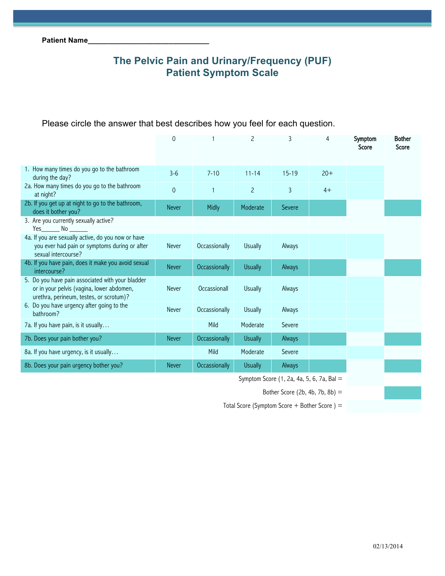# **The Pelvic Pain and Urinary/Frequency (PUF) Patient Symptom Scale**

| Please circle the answer that best describes how you feel for each question. |  |  |
|------------------------------------------------------------------------------|--|--|
|------------------------------------------------------------------------------|--|--|

|                                                                                                                                          | $\Omega$     |               | $\mathcal{P}$  | 3                                           | 4     | Symptom<br>Score | <b>Bother</b><br>Score |
|------------------------------------------------------------------------------------------------------------------------------------------|--------------|---------------|----------------|---------------------------------------------|-------|------------------|------------------------|
| 1. How many times do you go to the bathroom<br>during the day?                                                                           | $3 - 6$      | $7 - 10$      | $11 - 14$      | $15 - 19$                                   | $20+$ |                  |                        |
| 2a. How many times do you go to the bathroom<br>at night?                                                                                | $\mathbf 0$  |               | $\overline{c}$ | 3                                           | $4+$  |                  |                        |
| 2b. If you get up at night to go to the bathroom,<br>does it bother you?                                                                 | <b>Never</b> | Midly         | Moderate       | Severe                                      |       |                  |                        |
| 3. Are you currently sexually active?<br>$Yes$ $No$ $\qquad$                                                                             |              |               |                |                                             |       |                  |                        |
| 4a. If you are sexually active, do you now or have<br>you ever had pain or symptoms during or after<br>sexual intercourse?               | <b>Never</b> | Occassionally | <b>Usually</b> | Always                                      |       |                  |                        |
| 4b. If you have pain, does it make you avoid sexual<br>intercourse?                                                                      | <b>Never</b> | Occassionally | <b>Usually</b> | Always                                      |       |                  |                        |
| 5. Do you have pain associated with your bladder<br>or in your pelvis (vagina, lower abdomen,<br>urethra, perineum, testes, or scrotum)? | <b>Never</b> | Occassionall  | <b>Usually</b> | Always                                      |       |                  |                        |
| 6. Do you have urgency after going to the<br>bathroom?                                                                                   | <b>Never</b> | Occassionally | <b>Usually</b> | Always                                      |       |                  |                        |
| 7a. If you have pain, is it usually                                                                                                      |              | Mild          | Moderate       | Severe                                      |       |                  |                        |
| 7b. Does your pain bother you?                                                                                                           | <b>Never</b> | Occassionally | <b>Usually</b> | Always                                      |       |                  |                        |
| 8a. If you have urgency, is it usually                                                                                                   |              | Mild          | Moderate       | Severe                                      |       |                  |                        |
| 8b. Does your pain urgency bother you?                                                                                                   | <b>Never</b> | Occassionally | <b>Usually</b> | Always                                      |       |                  |                        |
|                                                                                                                                          |              |               |                | Symptom Score $(1, 2a, 4a, 5, 6, 7a, 8a) =$ |       |                  |                        |

Bother Score (2b, 4b, 7b, 8b) =

Total Score (Symptom Score + Bother Score) =